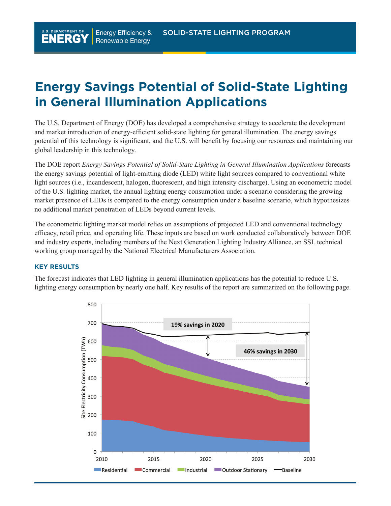## **Energy Savings Potential of Solid-State Lighting in General Illumination Applications**

The U.S. Department of Energy (DOE) has developed a comprehensive strategy to accelerate the development and market introduction of energy-efficient solid-state lighting for general illumination. The energy savings potential of this technology is significant, and the U.S. will benefit by focusing our resources and maintaining our global leadership in this technology.

The DOE report *Energy Savings Potential of Solid-State Lighting in General Illumination Applications* forecasts the energy savings potential of light-emitting diode (LED) white light sources compared to conventional white light sources (i.e., incandescent, halogen, fluorescent, and high intensity discharge). Using an econometric model of the U.S. lighting market, the annual lighting energy consumption under a scenario considering the growing market presence of LEDs is compared to the energy consumption under a baseline scenario, which hypothesizes no additional market penetration of LEDs beyond current levels.

The econometric lighting market model relies on assumptions of projected LED and conventional technology efficacy, retail price, and operating life. These inputs are based on work conducted collaboratively between DOE and industry experts, including members of the Next Generation Lighting Industry Alliance, an SSL technical working group managed by the National Electrical Manufacturers Association.

## **KEy RESuLtS**

U.S. DEPARTMENT OF

The forecast indicates that LED lighting in general illumination applications has the potential to reduce U.S. lighting energy consumption by nearly one half. Key results of the report are summarized on the following page.